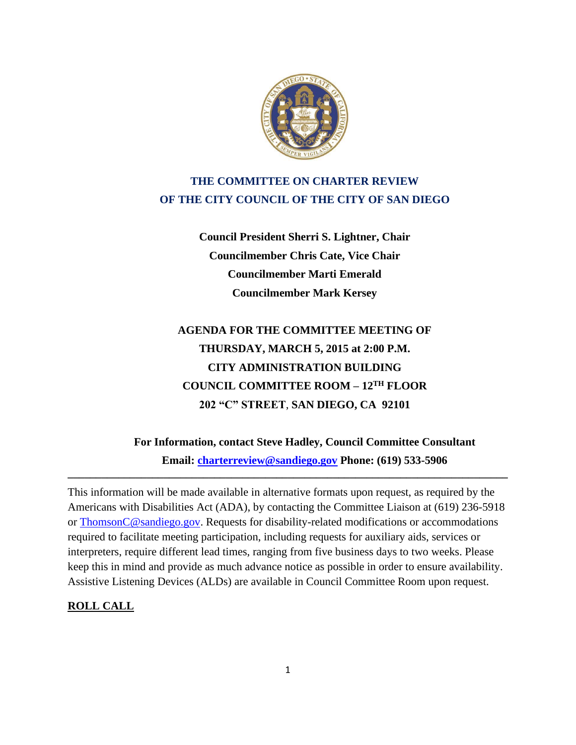

# **THE COMMITTEE ON CHARTER REVIEW OF THE CITY COUNCIL OF THE CITY OF SAN DIEGO**

**Council President Sherri S. Lightner, Chair Councilmember Chris Cate, Vice Chair Councilmember Marti Emerald Councilmember Mark Kersey**

# **AGENDA FOR THE COMMITTEE MEETING OF THURSDAY, MARCH 5, 2015 at 2:00 P.M. CITY ADMINISTRATION BUILDING COUNCIL COMMITTEE ROOM – 12TH FLOOR 202 "C" STREET**, **SAN DIEGO, CA 92101**

**For Information, contact Steve Hadley, Council Committee Consultant Email: [charterreview@sandiego.gov](mailto:charterreview@sandiego.gov) Phone: (619) 533-5906** 

This information will be made available in alternative formats upon request, as required by the Americans with Disabilities Act (ADA), by contacting the Committee Liaison at (619) 236-5918 or ThomsonC@sandiego.gov. Requests for disability-related modifications or accommodations required to facilitate meeting participation, including requests for auxiliary aids, services or interpreters, require different lead times, ranging from five business days to two weeks. Please keep this in mind and provide as much advance notice as possible in order to ensure availability. Assistive Listening Devices (ALDs) are available in Council Committee Room upon request.

**\_\_\_\_\_\_\_\_\_\_\_\_\_\_\_\_\_\_\_\_\_\_\_\_\_\_\_\_\_\_\_\_\_\_\_\_\_\_\_\_\_\_\_\_\_\_\_\_\_\_\_\_\_\_\_\_\_\_\_\_\_\_\_\_\_\_\_\_\_\_\_\_\_\_\_\_\_\_**

#### **ROLL CALL**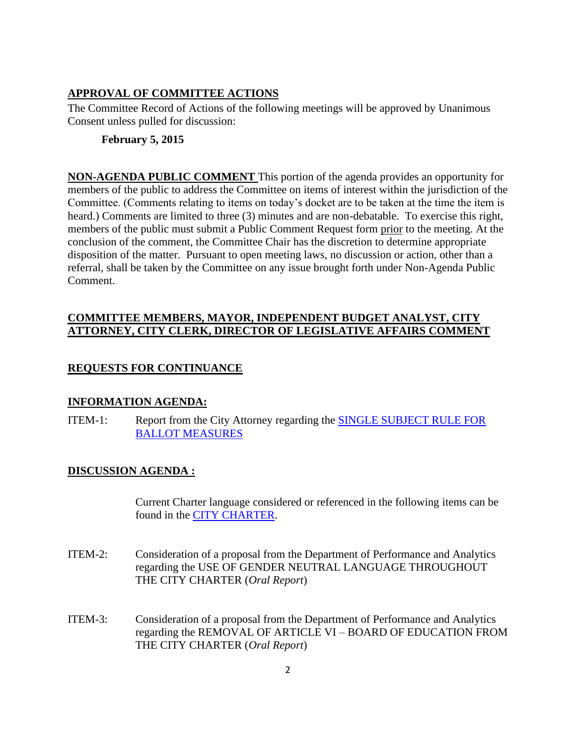#### **APPROVAL OF COMMITTEE ACTIONS**

The Committee Record of Actions of the following meetings will be approved by Unanimous Consent unless pulled for discussion:

#### **February 5, 2015**

**NON-AGENDA PUBLIC COMMENT** This portion of the agenda provides an opportunity for members of the public to address the Committee on items of interest within the jurisdiction of the Committee. (Comments relating to items on today's docket are to be taken at the time the item is heard.) Comments are limited to three (3) minutes and are non-debatable. To exercise this right, members of the public must submit a Public Comment Request form prior to the meeting. At the conclusion of the comment, the Committee Chair has the discretion to determine appropriate disposition of the matter. Pursuant to open meeting laws, no discussion or action, other than a referral, shall be taken by the Committee on any issue brought forth under Non-Agenda Public Comment.

### **COMMITTEE MEMBERS, MAYOR, INDEPENDENT BUDGET ANALYST, CITY ATTORNEY, CITY CLERK, DIRECTOR OF LEGISLATIVE AFFAIRS COMMENT**

## **REQUESTS FOR CONTINUANCE**

#### **INFORMATION AGENDA:**

ITEM-1: Report from the City Attorney regarding the [SINGLE SUBJECT RULE FOR](http://docs.sandiego.gov/councilcomm_agendas_attach/2015/cr_150305_1.pdf)  [BALLOT MEASURES](http://docs.sandiego.gov/councilcomm_agendas_attach/2015/cr_150305_1.pdf)

#### **DISCUSSION AGENDA :**

Current Charter language considered or referenced in the following items can be found in the [CITY CHARTER.](http://www.sandiego.gov/city-clerk/officialdocs/legisdocs/charter.shtml)

- ITEM-2: Consideration of a proposal from the Department of Performance and Analytics regarding the USE OF GENDER NEUTRAL LANGUAGE THROUGHOUT THE CITY CHARTER (*Oral Report*)
- ITEM-3: Consideration of a proposal from the Department of Performance and Analytics regarding the REMOVAL OF ARTICLE VI – BOARD OF EDUCATION FROM THE CITY CHARTER (*Oral Report*)